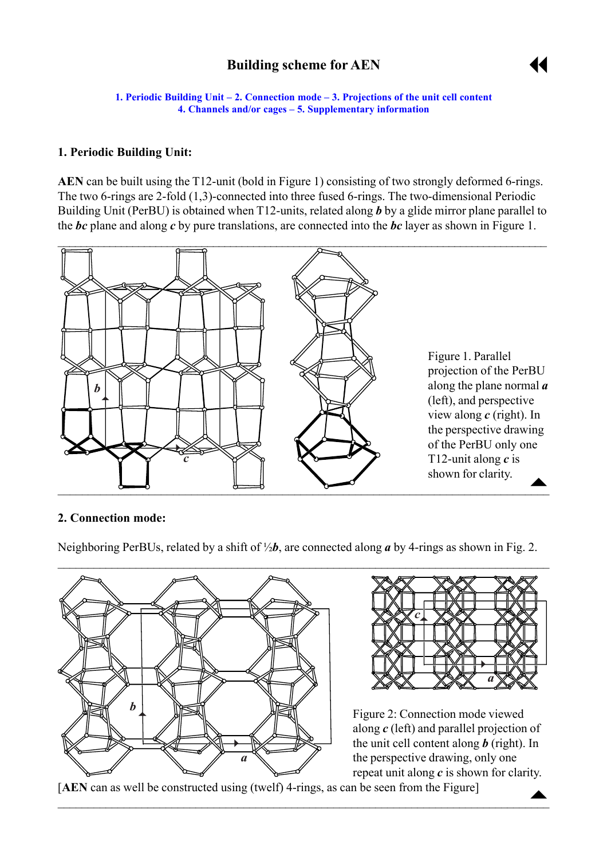# **Building scheme for AEN**



<span id="page-0-0"></span>**1. Periodic Building Unit – 2. Connection mode – [3. Projections of the unit cell](#page-1-0) content [4. Channels and/or cages](#page-1-0) – [5. Supplementary information](#page-1-0)** 

## **1. Periodic Building Unit:**

**AEN** can be built using the T12-unit (bold in Figure 1) consisting of two strongly deformed 6-rings. The two 6-rings are 2-fold (1,3)-connected into three fused 6-rings. The two-dimensional Periodic Building Unit (PerBU) is obtained when T12-units, related along *b* by a glide mirror plane parallel to the *bc* plane and along *c* by pure translations, are connected into the *bc* layer as shown in Figure 1.



#### **2. Connection mode:**

Neighboring PerBUs, related by a shift of ½*b*, are connected along *a* by 4-rings as shown in Fig. 2.





Figure 2: Connection mode viewed along *c* (left) and parallel projection of the unit cell content along *b* (right). In the perspective drawing, only one repeat unit along *c* is shown for clarity.

 $\triangle$ 

[**AEN** can as well be constructed using (twelf) 4-rings, as can be seen from the Figure]

 $\mathcal{L}_\mathcal{L} = \mathcal{L}_\mathcal{L} = \mathcal{L}_\mathcal{L} = \mathcal{L}_\mathcal{L} = \mathcal{L}_\mathcal{L} = \mathcal{L}_\mathcal{L} = \mathcal{L}_\mathcal{L} = \mathcal{L}_\mathcal{L} = \mathcal{L}_\mathcal{L} = \mathcal{L}_\mathcal{L} = \mathcal{L}_\mathcal{L} = \mathcal{L}_\mathcal{L} = \mathcal{L}_\mathcal{L} = \mathcal{L}_\mathcal{L} = \mathcal{L}_\mathcal{L} = \mathcal{L}_\mathcal{L} = \mathcal{L}_\mathcal{L}$